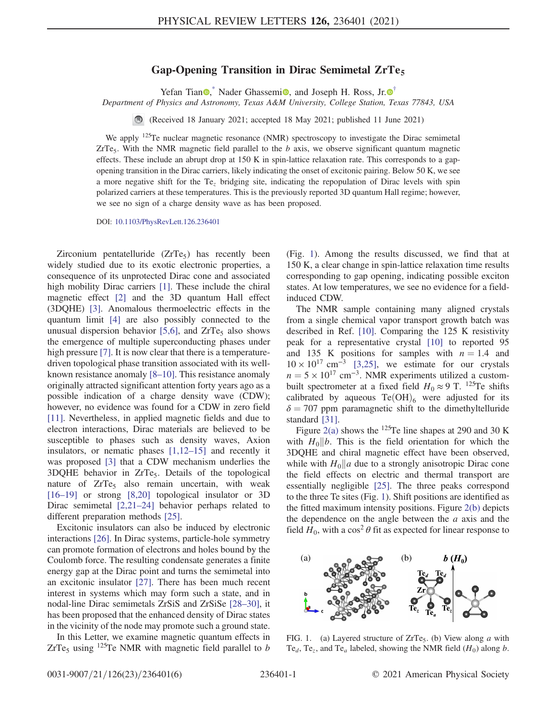## Gap-Opening Transition in Dirac Semimetal  $\text{ZrTe}_5$

Yefan Tian  $\bullet$ , Nader Ghassemi $\bullet$ , and Joseph H. Ross, Jr.  $\bullet$ <sup>[†](#page-4-1)</sup>

<span id="page-0-1"></span>Department of Physics and Astronomy, Texas A&M University, College Station, Texas 77843, USA

(Received 18 January 2021; accepted 18 May 2021; published 11 June 2021)

We apply <sup>125</sup>Te nuclear magnetic resonance (NMR) spectroscopy to investigate the Dirac semimetal  $ZrTe<sub>5</sub>$ . With the NMR magnetic field parallel to the b axis, we observe significant quantum magnetic effects. These include an abrupt drop at 150 K in spin-lattice relaxation rate. This corresponds to a gapopening transition in the Dirac carriers, likely indicating the onset of excitonic pairing. Below 50 K, we see a more negative shift for the Te<sup>z</sup> bridging site, indicating the repopulation of Dirac levels with spin polarized carriers at these temperatures. This is the previously reported 3D quantum Hall regime; however, we see no sign of a charge density wave as has been proposed.

DOI: [10.1103/PhysRevLett.126.236401](https://doi.org/10.1103/PhysRevLett.126.236401)

Zirconium pentatelluride  $(ZrTe<sub>5</sub>)$  has recently been widely studied due to its exotic electronic properties, a consequence of its unprotected Dirac cone and associated high mobility Dirac carriers [\[1\]](#page-4-2). These include the chiral magnetic effect [\[2\]](#page-4-3) and the 3D quantum Hall effect (3DQHE) [\[3\].](#page-4-4) Anomalous thermoelectric effects in the quantum limit [\[4\]](#page-4-5) are also possibly connected to the unusual dispersion behavior  $[5,6]$ , and  $ZrTe<sub>5</sub>$  also shows the emergence of multiple superconducting phases under high pressure [\[7\].](#page-4-7) It is now clear that there is a temperaturedriven topological phase transition associated with its wellknown resistance anomaly [8–[10\]](#page-4-8). This resistance anomaly originally attracted significant attention forty years ago as a possible indication of a charge density wave (CDW); however, no evidence was found for a CDW in zero field [\[11\]](#page-4-9). Nevertheless, in applied magnetic fields and due to electron interactions, Dirac materials are believed to be susceptible to phases such as density waves, Axion insulators, or nematic phases [\[1,12](#page-4-2)–15] and recently it was proposed [\[3\]](#page-4-4) that a CDW mechanism underlies the  $3DQHE$  behavior in  $ZrTe<sub>5</sub>$ . Details of the topological nature of  $ZrTe<sub>5</sub>$  also remain uncertain, with weak [\[16](#page-4-10)–19] or strong [\[8,20\]](#page-4-8) topological insulator or 3D Dirac semimetal [\[2,21](#page-4-3)–24] behavior perhaps related to different preparation methods [\[25\].](#page-4-11)

Excitonic insulators can also be induced by electronic interactions [\[26\]](#page-4-12). In Dirac systems, particle-hole symmetry can promote formation of electrons and holes bound by the Coulomb force. The resulting condensate generates a finite energy gap at the Dirac point and turns the semimetal into an excitonic insulator [\[27\]](#page-4-13). There has been much recent interest in systems which may form such a state, and in nodal-line Dirac semimetals ZrSiS and ZrSiSe [\[28](#page-4-14)–30], it has been proposed that the enhanced density of Dirac states in the vicinity of the node may promote such a ground state.

In this Letter, we examine magnetic quantum effects in ZrTe<sub>5</sub> using <sup>125</sup>Te NMR with magnetic field parallel to b (Fig. [1\)](#page-0-0). Among the results discussed, we find that at 150 K, a clear change in spin-lattice relaxation time results corresponding to gap opening, indicating possible exciton states. At low temperatures, we see no evidence for a fieldinduced CDW.

The NMR sample containing many aligned crystals from a single chemical vapor transport growth batch was described in Ref. [\[10\]](#page-4-15). Comparing the 125 K resistivity peak for a representative crystal [\[10\]](#page-4-15) to reported 95 and 135 K positions for samples with  $n = 1.4$  and  $10 \times 10^{17}$  cm<sup>-3</sup> [\[3,25\],](#page-4-4) we estimate for our crystals  $n = 5 \times 10^{17}$  cm<sup>-3</sup>. NMR experiments utilized a custombuilt spectrometer at a fixed field  $H_0 \approx 9$  T. <sup>125</sup>Te shifts calibrated by aqueous  $Te(OH)_{6}$  were adjusted for its  $\delta = 707$  ppm paramagnetic shift to the dimethyltelluride standard [\[31\]](#page-4-16).

Figure [2\(a\)](#page-1-0) shows the <sup>125</sup>Te line shapes at 290 and 30 K with  $H_0||b$ . This is the field orientation for which the 3DQHE and chiral magnetic effect have been observed, while with  $H_0||a$  due to a strongly anisotropic Dirac cone the field effects on electric and thermal transport are essentially negligible [\[25\]](#page-4-11). The three peaks correspond to the three Te sites (Fig. [1](#page-0-0)). Shift positions are identified as the fitted maximum intensity positions. Figure [2\(b\)](#page-1-0) depicts the dependence on the angle between the  $a$  axis and the field  $H_0$ , with a cos<sup>2</sup>  $\theta$  fit as expected for linear response to

<span id="page-0-0"></span>

FIG. 1. (a) Layered structure of  $ZrTe<sub>5</sub>$ . (b) View along a with Te<sub>d</sub>, Te<sub>z</sub>, and Te<sub>a</sub> labeled, showing the NMR field  $(H_0)$  along b.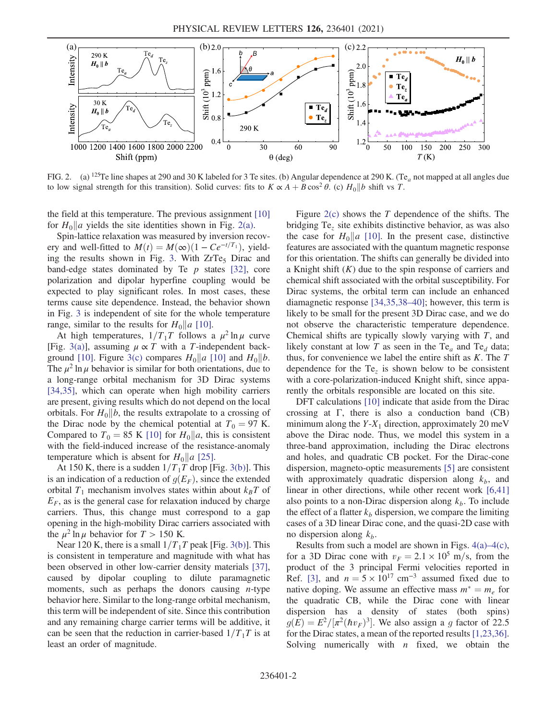<span id="page-1-0"></span>

FIG. 2. (a) <sup>125</sup>Te line shapes at 290 and 30 K labeled for 3 Te sites. (b) Angular dependence at 290 K. (Te<sub>a</sub> not mapped at all angles due to low signal strength for this transition). Solid curves: fits to  $K \propto A + B \cos^2 \theta$ . (c)  $H_0 || b$  shift vs T.

the field at this temperature. The previous assignment [\[10\]](#page-4-15) for  $H_0||a$  yields the site identities shown in Fig. [2\(a\)](#page-1-0).

Spin-lattice relaxation was measured by inversion recovery and well-fitted to  $M(t) = M(\infty)(1 - Ce^{-t/T_1})$ , yield-ing the results shown in Fig. [3](#page-2-0). With  $ZrTe<sub>5</sub>$  Dirac and band-edge states dominated by Te  $p$  states [\[32\],](#page-4-17) core polarization and dipolar hyperfine coupling would be expected to play significant roles. In most cases, these terms cause site dependence. Instead, the behavior shown in Fig. [3](#page-2-0) is independent of site for the whole temperature range, similar to the results for  $H_0||a|$  [\[10\]](#page-4-15).

At high temperatures,  $1/T_1T$  follows a  $\mu^2 \ln \mu$  curve [Fig. [3\(a\)\]](#page-2-0), assuming  $\mu \propto T$  with a T-independent back-ground [\[10\].](#page-4-15) Figure [3\(c\)](#page-2-0) compares  $H_0||a|$  [\[10\]](#page-4-15) and  $H_0||b$ . The  $\mu^2$  ln  $\mu$  behavior is similar for both orientations, due to a long-range orbital mechanism for 3D Dirac systems [\[34,35\]](#page-4-18), which can operate when high mobility carriers are present, giving results which do not depend on the local orbitals. For  $H_0||b$ , the results extrapolate to a crossing of the Dirac node by the chemical potential at  $T_0 = 97$  K. Compared to  $T_0 = 85$  K [\[10\]](#page-4-15) for  $H_0 || a$ , this is consistent with the field-induced increase of the resistance-anomaly temperature which is absent for  $H_0||a$  [\[25\].](#page-4-11)

At 150 K, there is a sudden  $1/T_1T$  drop [Fig. [3\(b\)](#page-2-0)]. This is an indication of a reduction of  $g(E_F)$ , since the extended orbital  $T_1$  mechanism involves states within about  $k_BT$  of  $E_F$ , as is the general case for relaxation induced by charge carriers. Thus, this change must correspond to a gap opening in the high-mobility Dirac carriers associated with the  $\mu^2 \ln \mu$  behavior for  $T > 150$  K.

Near 120 K, there is a small  $1/T_1T$  peak [Fig. [3\(b\)](#page-2-0)]. This is consistent in temperature and magnitude with what has been observed in other low-carrier density materials [\[37\]](#page-5-0), caused by dipolar coupling to dilute paramagnetic moments, such as perhaps the donors causing  $n$ -type behavior here. Similar to the long-range orbital mechanism, this term will be independent of site. Since this contribution and any remaining charge carrier terms will be additive, it can be seen that the reduction in carrier-based  $1/T_1T$  is at least an order of magnitude.

Figure  $2(c)$  shows the T dependence of the shifts. The bridging  $Te<sub>z</sub>$  site exhibits distinctive behavior, as was also the case for  $H_0||a$  [\[10\]](#page-4-15). In the present case, distinctive features are associated with the quantum magnetic response for this orientation. The shifts can generally be divided into a Knight shift  $(K)$  due to the spin response of carriers and chemical shift associated with the orbital susceptibility. For Dirac systems, the orbital term can include an enhanced diamagnetic response [\[34,35,38](#page-4-18)–40]; however, this term is likely to be small for the present 3D Dirac case, and we do not observe the characteristic temperature dependence. Chemical shifts are typically slowly varying with  $T$ , and likely constant at low T as seen in the Te<sub>a</sub> and Te<sub>d</sub> data; thus, for convenience we label the entire shift as  $K$ . The  $T$ dependence for the  $Te<sub>z</sub>$  is shown below to be consistent with a core-polarization-induced Knight shift, since apparently the orbitals responsible are located on this site.

DFT calculations [\[10\]](#page-4-15) indicate that aside from the Dirac crossing at Γ, there is also a conduction band (CB) minimum along the  $Y-X_1$  direction, approximately 20 meV above the Dirac node. Thus, we model this system in a three-band approximation, including the Dirac electrons and holes, and quadratic CB pocket. For the Dirac-cone dispersion, magneto-optic measurements [\[5\]](#page-4-6) are consistent with approximately quadratic dispersion along  $k_b$ , and linear in other directions, while other recent work [\[6,41\]](#page-4-19) also points to a non-Dirac dispersion along  $k_b$ . To include the effect of a flatter  $k_b$  dispersion, we compare the limiting cases of a 3D linear Dirac cone, and the quasi-2D case with no dispersion along  $k<sub>b</sub>$ .

Results from such a model are shown in Figs. [4\(a\)](#page-3-0)–4(c), for a 3D Dirac cone with  $v_F = 2.1 \times 10^5$  m/s, from the product of the 3 principal Fermi velocities reported in Ref. [\[3\],](#page-4-4) and  $n = 5 \times 10^{17}$  cm<sup>-3</sup> assumed fixed due to native doping. We assume an effective mass  $m^* = m_e$  for the quadratic CB, while the Dirac cone with linear dispersion has a density of states (both spins)  $g(E) = E^2/[\pi^2(\hbar v_F)^3]$ . We also assign a g factor of 22.5 for the Dirac states, a mean of the reported results [\[1,23,36\]](#page-4-2). Solving numerically with  $n$  fixed, we obtain the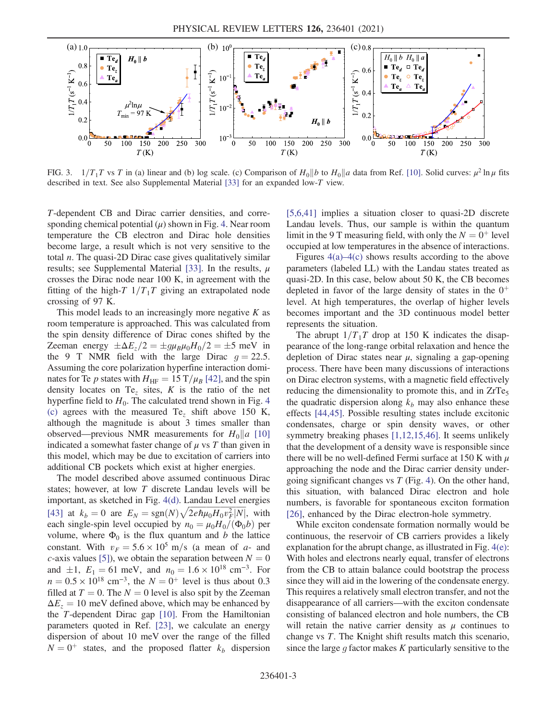<span id="page-2-0"></span>

FIG. 3.  $1/T_1T$  vs T in (a) linear and (b) log scale. (c) Comparison of  $H_0||b$  to  $H_0||a$  data from Ref. [\[10\].](#page-4-15) Solid curves:  $\mu^2 \ln \mu$  fits described in text. See also Supplemental Material [\[33\]](#page-4-20) for an expanded low-T view.

T-dependent CB and Dirac carrier densities, and corresponding chemical potential  $(\mu)$  shown in Fig. [4](#page-3-0). Near room temperature the CB electron and Dirac hole densities become large, a result which is not very sensitive to the total  $n$ . The quasi-2D Dirac case gives qualitatively similar results; see Supplemental Material [\[33\]](#page-4-20). In the results,  $\mu$ crosses the Dirac node near 100 K, in agreement with the fitting of the high-T  $1/T_1T$  giving an extrapolated node crossing of 97 K.

This model leads to an increasingly more negative  $K$  as room temperature is approached. This was calculated from the spin density difference of Dirac cones shifted by the Zeeman energy  $\pm \Delta E_z/2 = \pm g \mu_B \mu_0 H_0/2 = \pm 5$  meV in the 9 T NMR field with the large Dirac  $q = 22.5$ . Assuming the core polarization hyperfine interaction dominates for Te p states with  $H_{\text{HF}} = 15 \text{ T}/\mu_B$  [\[42\],](#page-5-1) and the spin density locates on Te<sub>z</sub> sites,  $K$  is the ratio of the net hyperfine field to  $H_0$ . The calculated trend shown in Fig. [4](#page-3-0) [\(c\)](#page-3-0) agrees with the measured Te<sub>z</sub> shift above 150 K, although the magnitude is about 3 times smaller than observed—previous NMR measurements for  $H_0||a$  [\[10\]](#page-4-15) indicated a somewhat faster change of  $\mu$  vs T than given in this model, which may be due to excitation of carriers into additional CB pockets which exist at higher energies.

The model described above assumed continuous Dirac states; however, at low T discrete Landau levels will be important, as sketched in Fig. [4\(d\).](#page-3-0) Landau Level energies important, as sketched in Fig. 4(d). Landau Level energies<br> [\[43\]](#page-5-2) at  $k_b = 0$  are  $E_N = \text{sgn}(N)\sqrt{2e\hbar\mu_0H_0v_F^2|N|}$ , with each single-spin level occupied by  $n_0 = \mu_0 H_0/(\Phi_0 b)$  per volume, where  $\Phi_0$  is the flux quantum and b the lattice constant. With  $v_F = 5.6 \times 10^5$  m/s (a mean of a- and c-axis values [\[5\]\)](#page-4-6), we obtain the separation between  $N = 0$ and  $\pm 1$ ,  $E_1 = 61$  meV, and  $n_0 = 1.6 \times 10^{18}$  cm<sup>-3</sup>. For  $n = 0.5 \times 10^{18}$  cm<sup>-3</sup>, the  $N = 0^{+}$  level is thus about 0.3 filled at  $T = 0$ . The  $N = 0$  level is also spit by the Zeeman  $\Delta E_z = 10$  meV defined above, which may be enhanced by the T-dependent Dirac gap [\[10\].](#page-4-15) From the Hamiltonian parameters quoted in Ref. [\[23\]](#page-4-21), we calculate an energy dispersion of about 10 meV over the range of the filled  $N = 0^+$  states, and the proposed flatter  $k_b$  dispersion [\[5,6,41\]](#page-4-6) implies a situation closer to quasi-2D discrete Landau levels. Thus, our sample is within the quantum limit in the 9 T measuring field, with only the  $N = 0^+$  level occupied at low temperatures in the absence of interactions.

Figures [4\(a\)](#page-3-0)–4(c) shows results according to the above parameters (labeled LL) with the Landau states treated as quasi-2D. In this case, below about 50 K, the CB becomes depleted in favor of the large density of states in the  $0^+$ level. At high temperatures, the overlap of higher levels becomes important and the 3D continuous model better represents the situation.

The abrupt  $1/T_1T$  drop at 150 K indicates the disappearance of the long-range orbital relaxation and hence the depletion of Dirac states near  $\mu$ , signaling a gap-opening process. There have been many discussions of interactions on Dirac electron systems, with a magnetic field effectively reducing the dimensionality to promote this, and in  $ZrTe<sub>5</sub>$ the quadratic dispersion along  $k_b$  may also enhance these effects [\[44,45\]](#page-5-3). Possible resulting states include excitonic condensates, charge or spin density waves, or other symmetry breaking phases [\[1,12,15,46\].](#page-4-2) It seems unlikely that the development of a density wave is responsible since there will be no well-defined Fermi surface at 150 K with  $\mu$ approaching the node and the Dirac carrier density undergoing significant changes vs  $T$  (Fig. [4](#page-3-0)). On the other hand, this situation, with balanced Dirac electron and hole numbers, is favorable for spontaneous exciton formation [\[26\]](#page-4-12), enhanced by the Dirac electron-hole symmetry.

While exciton condensate formation normally would be continuous, the reservoir of CB carriers provides a likely explanation for the abrupt change, as illustrated in Fig. [4\(e\)](#page-3-0): With holes and electrons nearly equal, transfer of electrons from the CB to attain balance could bootstrap the process since they will aid in the lowering of the condensate energy. This requires a relatively small electron transfer, and not the disappearance of all carriers—with the exciton condensate consisting of balanced electron and hole numbers, the CB will retain the native carrier density as  $\mu$  continues to change vs T. The Knight shift results match this scenario, since the large  $q$  factor makes  $K$  particularly sensitive to the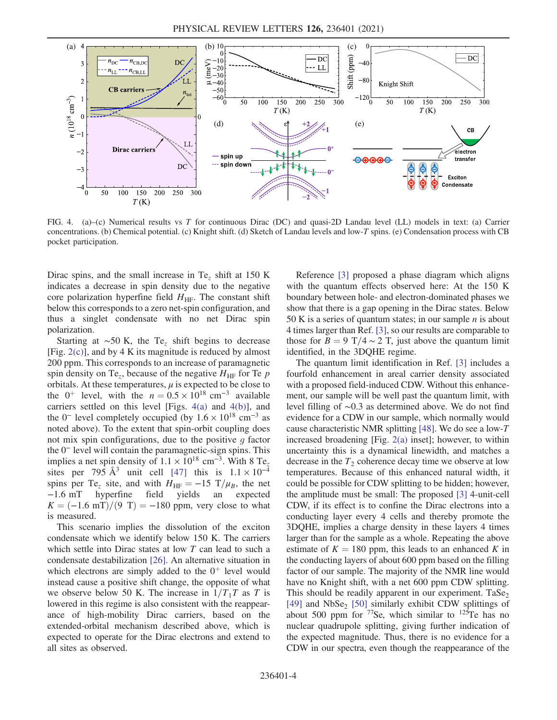<span id="page-3-0"></span>

FIG. 4. (a)–(c) Numerical results vs T for continuous Dirac (DC) and quasi-2D Landau level (LL) models in text: (a) Carrier concentrations. (b) Chemical potential. (c) Knight shift. (d) Sketch of Landau levels and low-T spins. (e) Condensation process with CB pocket participation.

Dirac spins, and the small increase in Te<sub>z</sub> shift at 150 K indicates a decrease in spin density due to the negative core polarization hyperfine field  $H<sub>HF</sub>$ . The constant shift below this corresponds to a zero net-spin configuration, and thus a singlet condensate with no net Dirac spin polarization.

Starting at ~50 K, the Te<sub>z</sub> shift begins to decrease [Fig.  $2(c)$ ], and by 4 K its magnitude is reduced by almost 200 ppm. This corresponds to an increase of paramagnetic spin density on Te<sub>z</sub>, because of the negative  $H_{HF}$  for Te p orbitals. At these temperatures,  $\mu$  is expected to be close to the 0<sup>+</sup> level, with the  $n = 0.5 \times 10^{18}$  cm<sup>-3</sup> available carriers settled on this level [Figs. [4\(a\)](#page-3-0) and [4\(b\)\]](#page-3-0), and the 0<sup>-</sup> level completely occupied (by  $1.6 \times 10^{18}$  cm<sup>-3</sup> as noted above). To the extent that spin-orbit coupling does not mix spin configurations, due to the positive  $g$  factor the 0<sup>−</sup> level will contain the paramagnetic-sign spins. This implies a net spin density of  $1.1 \times 10^{18}$  cm<sup>-3</sup>. With 8 Te<sub>z</sub> sites per 795 Å<sup>3</sup> unit cell [\[47\]](#page-5-4) this is  $1.1 \times 10^{-4}$ spins per Te<sub>z</sub> site, and with  $H_{\text{HF}} = -15 \text{ T}/\mu_B$ , the net -1.6 mT hyperfine field yields an expected hyperfine field yields an expected  $K = (-1.6$  mT $)/(9$  T $) = -180$  ppm, very close to what is measured.

This scenario implies the dissolution of the exciton condensate which we identify below 150 K. The carriers which settle into Dirac states at low T can lead to such a condensate destabilization [\[26\]](#page-4-12). An alternative situation in which electrons are simply added to the  $0^+$  level would instead cause a positive shift change, the opposite of what we observe below 50 K. The increase in  $1/T_1T$  as T is lowered in this regime is also consistent with the reappearance of high-mobility Dirac carriers, based on the extended-orbital mechanism described above, which is expected to operate for the Dirac electrons and extend to all sites as observed.

Reference [\[3\]](#page-4-4) proposed a phase diagram which aligns with the quantum effects observed here: At the 150 K boundary between hole- and electron-dominated phases we show that there is a gap opening in the Dirac states. Below 50 K is a series of quantum states; in our sample  $n$  is about 4 times larger than Ref. [\[3\]](#page-4-4), so our results are comparable to those for  $B = 9$  T/4 ∼ 2 T, just above the quantum limit identified, in the 3DQHE regime.

The quantum limit identification in Ref. [\[3\]](#page-4-4) includes a fourfold enhancement in areal carrier density associated with a proposed field-induced CDW. Without this enhancement, our sample will be well past the quantum limit, with level filling of ∼0.3 as determined above. We do not find evidence for a CDW in our sample, which normally would cause characteristic NMR splitting [\[48\].](#page-5-5) We do see a low-T increased broadening [Fig. [2\(a\)](#page-1-0) inset]; however, to within uncertainty this is a dynamical linewidth, and matches a decrease in the  $T_2$  coherence decay time we observe at low temperatures. Because of this enhanced natural width, it could be possible for CDW splitting to be hidden; however, the amplitude must be small: The proposed [\[3\]](#page-4-4) 4-unit-cell CDW, if its effect is to confine the Dirac electrons into a conducting layer every 4 cells and thereby promote the 3DQHE, implies a charge density in these layers 4 times larger than for the sample as a whole. Repeating the above estimate of  $K = 180$  ppm, this leads to an enhanced K in the conducting layers of about 600 ppm based on the filling factor of our sample. The majority of the NMR line would have no Knight shift, with a net 600 ppm CDW splitting. This should be readily apparent in our experiment.  $T\alpha Se_2$ [\[49\]](#page-5-6) and  $NbSe<sub>2</sub>$  [\[50\]](#page-5-7) similarly exhibit CDW splittings of about 500 ppm for  $^{77}$ Se, which similar to  $^{125}$ Te has no nuclear quadrupole splitting, giving further indication of the expected magnitude. Thus, there is no evidence for a CDW in our spectra, even though the reappearance of the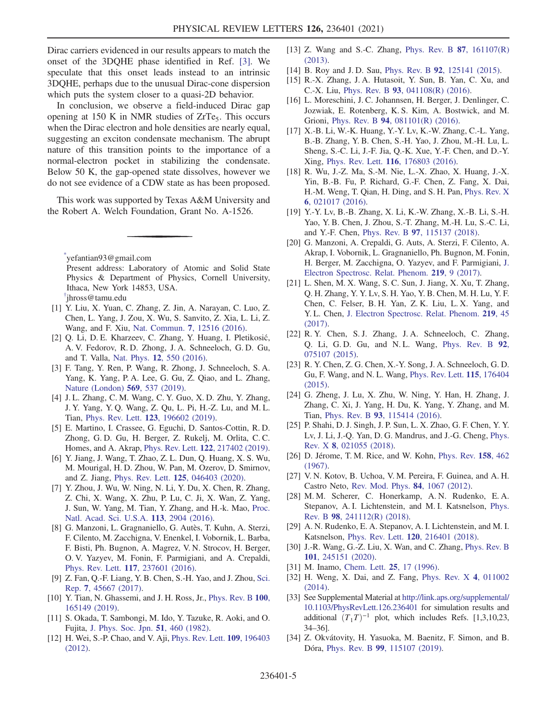Dirac carriers evidenced in our results appears to match the onset of the 3DQHE phase identified in Ref. [\[3\]](#page-4-4). We speculate that this onset leads instead to an intrinsic 3DQHE, perhaps due to the unusual Dirac-cone dispersion which puts the system closer to a quasi-2D behavior.

In conclusion, we observe a field-induced Dirac gap opening at 150 K in NMR studies of  $ZrTe<sub>5</sub>$ . This occurs when the Dirac electron and hole densities are nearly equal, suggesting an exciton condensate mechanism. The abrupt nature of this transition points to the importance of a normal-electron pocket in stabilizing the condensate. Below 50 K, the gap-opened state dissolves, however we do not see evidence of a CDW state as has been proposed.

This work was supported by Texas A&M University and the Robert A. Welch Foundation, Grant No. A-1526.

<span id="page-4-1"></span><span id="page-4-0"></span>[\\*](#page-0-1) yefantian93@gmail.com Present address: Laboratory of Atomic and Solid State Physics & Department of Physics, Cornell University, Ithaca, New York 14853, USA. [†](#page-0-1) jhross@tamu.edu

- <span id="page-4-3"></span><span id="page-4-2"></span>[1] Y. Liu, X. Yuan, C. Zhang, Z. Jin, A. Narayan, C. Luo, Z. Chen, L. Yang, J. Zou, X. Wu, S. Sanvito, Z. Xia, L. Li, Z. Wang, and F. Xiu, Nat. Commun. 7[, 12516 \(2016\)](https://doi.org/10.1038/ncomms12516).
- <span id="page-4-4"></span>[2] Q. Li, D. E. Kharzeev, C. Zhang, Y. Huang, I. Pletikosić, A. V. Fedorov, R. D. Zhong, J. A. Schneeloch, G. D. Gu, and T. Valla, Nat. Phys. 12[, 550 \(2016\).](https://doi.org/10.1038/nphys3648)
- <span id="page-4-5"></span>[3] F. Tang, Y. Ren, P. Wang, R. Zhong, J. Schneeloch, S. A. Yang, K. Yang, P. A. Lee, G. Gu, Z. Qiao, and L. Zhang, [Nature \(London\)](https://doi.org/10.1038/s41586-019-1180-9) 569, 537 (2019).
- <span id="page-4-6"></span>[4] J. L. Zhang, C. M. Wang, C. Y. Guo, X. D. Zhu, Y. Zhang, J. Y. Yang, Y. Q. Wang, Z. Qu, L. Pi, H.-Z. Lu, and M. L. Tian, Phys. Rev. Lett. 123[, 196602 \(2019\)](https://doi.org/10.1103/PhysRevLett.123.196602).
- <span id="page-4-19"></span>[5] E. Martino, I. Crassee, G. Eguchi, D. Santos-Cottin, R. D. Zhong, G. D. Gu, H. Berger, Z. Rukelj, M. Orlita, C. C. Homes, and A. Akrap, Phys. Rev. Lett. 122[, 217402 \(2019\).](https://doi.org/10.1103/PhysRevLett.122.217402)
- <span id="page-4-7"></span>[6] Y. Jiang, J. Wang, T. Zhao, Z. L. Dun, Q. Huang, X. S. Wu, M. Mourigal, H. D. Zhou, W. Pan, M. Ozerov, D. Smirnov, and Z. Jiang, Phys. Rev. Lett. 125[, 046403 \(2020\).](https://doi.org/10.1103/PhysRevLett.125.046403)
- [7] Y. Zhou, J. Wu, W. Ning, N. Li, Y. Du, X. Chen, R. Zhang, Z. Chi, X. Wang, X. Zhu, P. Lu, C. Ji, X. Wan, Z. Yang, J. Sun, W. Yang, M. Tian, Y. Zhang, and H.-k. Mao, [Proc.](https://doi.org/10.1073/pnas.1601262113) [Natl. Acad. Sci. U.S.A.](https://doi.org/10.1073/pnas.1601262113) 113, 2904 (2016).
- <span id="page-4-8"></span>[8] G. Manzoni, L. Gragnaniello, G. Autès, T. Kuhn, A. Sterzi, F. Cilento, M. Zacchigna, V. Enenkel, I. Vobornik, L. Barba, F. Bisti, Ph. Bugnon, A. Magrez, V. N. Strocov, H. Berger, O. V. Yazyev, M. Fonin, F. Parmigiani, and A. Crepaldi, Phys. Rev. Lett. 117[, 237601 \(2016\).](https://doi.org/10.1103/PhysRevLett.117.237601)
- <span id="page-4-15"></span>[9] Z. Fan, Q.-F. Liang, Y. B. Chen, S.-H. Yao, and J. Zhou, [Sci.](https://doi.org/10.1038/srep45667) Rep. 7[, 45667 \(2017\)](https://doi.org/10.1038/srep45667).
- <span id="page-4-9"></span>[10] Y. Tian, N. Ghassemi, and J. H. Ross, Jr., [Phys. Rev. B](https://doi.org/10.1103/PhysRevB.100.165149) 100, [165149 \(2019\).](https://doi.org/10.1103/PhysRevB.100.165149)
- [11] S. Okada, T. Sambongi, M. Ido, Y. Tazuke, R. Aoki, and O. Fujita, [J. Phys. Soc. Jpn.](https://doi.org/10.1143/JPSJ.51.460) 51, 460 (1982).
- [12] H. Wei, S.-P. Chao, and V. Aji, [Phys. Rev. Lett.](https://doi.org/10.1103/PhysRevLett.109.196403) 109, 196403 [\(2012\).](https://doi.org/10.1103/PhysRevLett.109.196403)
- [13] Z. Wang and S.-C. Zhang, [Phys. Rev. B](https://doi.org/10.1103/PhysRevB.87.161107) 87, 161107(R) [\(2013\).](https://doi.org/10.1103/PhysRevB.87.161107)
- [14] B. Roy and J. D. Sau, Phys. Rev. B 92[, 125141 \(2015\).](https://doi.org/10.1103/PhysRevB.92.125141)
- [15] R.-X. Zhang, J. A. Hutasoit, Y. Sun, B. Yan, C. Xu, and C.-X. Liu, Phys. Rev. B 93[, 041108\(R\) \(2016\).](https://doi.org/10.1103/PhysRevB.93.041108)
- <span id="page-4-10"></span>[16] L. Moreschini, J. C. Johannsen, H. Berger, J. Denlinger, C. Jozwiak, E. Rotenberg, K. S. Kim, A. Bostwick, and M. Grioni, Phys. Rev. B 94[, 081101\(R\) \(2016\).](https://doi.org/10.1103/PhysRevB.94.081101)
- [17] X.-B. Li, W.-K. Huang, Y.-Y. Lv, K.-W. Zhang, C.-L. Yang, B.-B. Zhang, Y. B. Chen, S.-H. Yao, J. Zhou, M.-H. Lu, L. Sheng, S.-C. Li, J.-F. Jia, Q.-K. Xue, Y.-F. Chen, and D.-Y. Xing, Phys. Rev. Lett. 116[, 176803 \(2016\)](https://doi.org/10.1103/PhysRevLett.116.176803).
- [18] R. Wu, J.-Z. Ma, S.-M. Nie, L.-X. Zhao, X. Huang, J.-X. Yin, B.-B. Fu, P. Richard, G.-F. Chen, Z. Fang, X. Dai, H.-M. Weng, T. Qian, H. Ding, and S. H. Pan, [Phys. Rev. X](https://doi.org/10.1103/PhysRevX.6.021017) 6[, 021017 \(2016\)](https://doi.org/10.1103/PhysRevX.6.021017).
- [19] Y.-Y. Lv, B.-B. Zhang, X. Li, K.-W. Zhang, X.-B. Li, S.-H. Yao, Y. B. Chen, J. Zhou, S.-T. Zhang, M.-H. Lu, S.-C. Li, and Y.-F. Chen, Phys. Rev. B 97[, 115137 \(2018\)](https://doi.org/10.1103/PhysRevB.97.115137).
- [20] G. Manzoni, A. Crepaldi, G. Auts, A. Sterzi, F. Cilento, A. Akrap, I. Vobornik, L. Gragnaniello, Ph. Bugnon, M. Fonin, H. Berger, M. Zacchigna, O. Yazyev, and F. Parmigiani, [J.](https://doi.org/10.1016/j.elspec.2016.09.006) [Electron Spectrosc. Relat. Phenom.](https://doi.org/10.1016/j.elspec.2016.09.006) 219, 9 (2017).
- [21] L. Shen, M. X. Wang, S. C. Sun, J. Jiang, X. Xu, T. Zhang, Q. H. Zhang, Y. Y. Lv, S. H. Yao, Y. B. Chen, M. H. Lu, Y. F. Chen, C. Felser, B. H. Yan, Z. K. Liu, L. X. Yang, and Y. L. Chen, [J. Electron Spectrosc. Relat. Phenom.](https://doi.org/10.1016/j.elspec.2016.10.007) 219, 45 [\(2017\).](https://doi.org/10.1016/j.elspec.2016.10.007)
- [22] R. Y. Chen, S. J. Zhang, J. A. Schneeloch, C. Zhang, Q. Li, G. D. Gu, and N. L. Wang, [Phys. Rev. B](https://doi.org/10.1103/PhysRevB.92.075107) 92, [075107 \(2015\).](https://doi.org/10.1103/PhysRevB.92.075107)
- <span id="page-4-21"></span>[23] R. Y. Chen, Z. G. Chen, X.-Y. Song, J. A. Schneeloch, G. D. Gu, F. Wang, and N. L. Wang, [Phys. Rev. Lett.](https://doi.org/10.1103/PhysRevLett.115.176404) 115, 176404 [\(2015\).](https://doi.org/10.1103/PhysRevLett.115.176404)
- [24] G. Zheng, J. Lu, X. Zhu, W. Ning, Y. Han, H. Zhang, J. Zhang, C. Xi, J. Yang, H. Du, K. Yang, Y. Zhang, and M. Tian, Phys. Rev. B 93[, 115414 \(2016\).](https://doi.org/10.1103/PhysRevB.93.115414)
- <span id="page-4-11"></span>[25] P. Shahi, D. J. Singh, J. P. Sun, L. X. Zhao, G. F. Chen, Y. Y. Lv, J. Li, J.-Q. Yan, D. G. Mandrus, and J.-G. Cheng, [Phys.](https://doi.org/10.1103/PhysRevX.8.021055) Rev. X 8[, 021055 \(2018\).](https://doi.org/10.1103/PhysRevX.8.021055)
- <span id="page-4-12"></span>[26] D. Jérome, T. M. Rice, and W. Kohn, [Phys. Rev.](https://doi.org/10.1103/PhysRev.158.462) 158, 462 [\(1967\).](https://doi.org/10.1103/PhysRev.158.462)
- <span id="page-4-14"></span><span id="page-4-13"></span>[27] V. N. Kotov, B. Uchoa, V. M. Pereira, F. Guinea, and A. H. Castro Neto, [Rev. Mod. Phys.](https://doi.org/10.1103/RevModPhys.84.1067) 84, 1067 (2012).
- [28] M. M. Scherer, C. Honerkamp, A. N. Rudenko, E. A. Stepanov, A. I. Lichtenstein, and M. I. Katsnelson, [Phys.](https://doi.org/10.1103/PhysRevB.98.241112) Rev. B 98[, 241112\(R\) \(2018\)](https://doi.org/10.1103/PhysRevB.98.241112).
- [29] A. N. Rudenko, E. A. Stepanov, A. I. Lichtenstein, and M. I. Katsnelson, Phys. Rev. Lett. 120[, 216401 \(2018\)](https://doi.org/10.1103/PhysRevLett.120.216401).
- <span id="page-4-16"></span>[30] J.-R. Wang, G.-Z. Liu, X. Wan, and C. Zhang, [Phys. Rev. B](https://doi.org/10.1103/PhysRevB.101.245151) 101[, 245151 \(2020\).](https://doi.org/10.1103/PhysRevB.101.245151)
- <span id="page-4-17"></span>[31] M. Inamo, [Chem. Lett.](https://doi.org/10.1246/cl.1996.17) **25**, 17 (1996).
- <span id="page-4-20"></span>[32] H. Weng, X. Dai, and Z. Fang, [Phys. Rev. X](https://doi.org/10.1103/PhysRevX.4.011002) 4, 011002 [\(2014\).](https://doi.org/10.1103/PhysRevX.4.011002)
- [33] See Supplemental Material at [http://link.aps.org/supplemental/](http://link.aps.org/supplemental/10.1103/PhysRevLett.126.236401) [10.1103/PhysRevLett.126.236401](http://link.aps.org/supplemental/10.1103/PhysRevLett.126.236401) for simulation results and additional  $(T_1T)^{-1}$  plot, which includes Refs. [1,3,10,23, 34–36].
- <span id="page-4-18"></span>[34] Z. Okvátovity, H. Yasuoka, M. Baenitz, F. Simon, and B. Dóra, Phys. Rev. B 99[, 115107 \(2019\)](https://doi.org/10.1103/PhysRevB.99.115107).